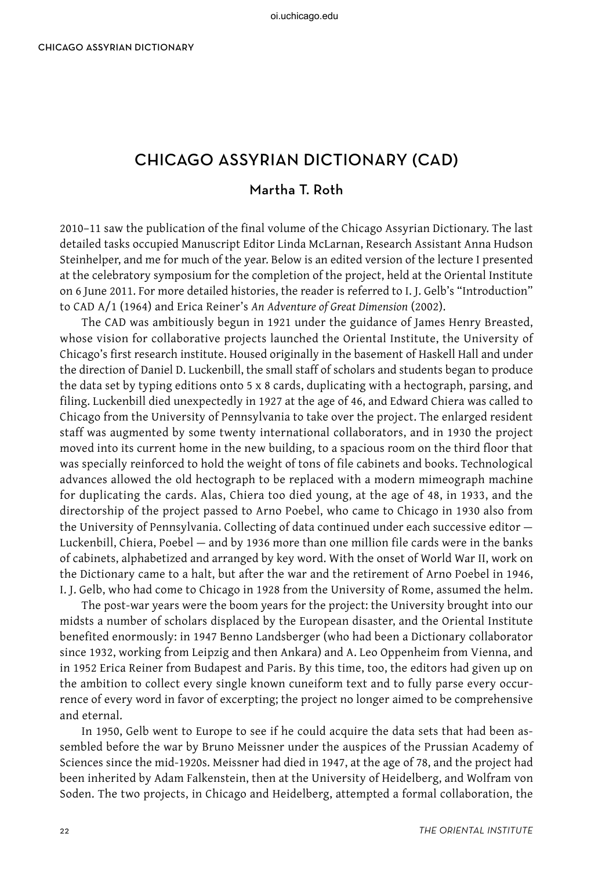# CHICAGO ASSYRIAN DICTIONARY (CAD)

## Martha T. Roth

2010–11 saw the publication of the final volume of the Chicago Assyrian Dictionary. The last detailed tasks occupied Manuscript Editor Linda McLarnan, Research Assistant Anna Hudson Steinhelper, and me for much of the year. Below is an edited version of the lecture I presented at the celebratory symposium for the completion of the project, held at the Oriental Institute on 6 June 2011. For more detailed histories, the reader is referred to I. J. Gelb's "Introduction" to CAD A/1 (1964) and Erica Reiner's *An Adventure of Great Dimension* (2002).

The CAD was ambitiously begun in 1921 under the guidance of James Henry Breasted, whose vision for collaborative projects launched the Oriental Institute, the University of Chicago's first research institute. Housed originally in the basement of Haskell Hall and under the direction of Daniel D. Luckenbill, the small staff of scholars and students began to produce the data set by typing editions onto 5 x 8 cards, duplicating with a hectograph, parsing, and filing. Luckenbill died unexpectedly in 1927 at the age of 46, and Edward Chiera was called to Chicago from the University of Pennsylvania to take over the project. The enlarged resident staff was augmented by some twenty international collaborators, and in 1930 the project moved into its current home in the new building, to a spacious room on the third floor that was specially reinforced to hold the weight of tons of file cabinets and books. Technological advances allowed the old hectograph to be replaced with a modern mimeograph machine for duplicating the cards. Alas, Chiera too died young, at the age of 48, in 1933, and the directorship of the project passed to Arno Poebel, who came to Chicago in 1930 also from the University of Pennsylvania. Collecting of data continued under each successive editor — Luckenbill, Chiera, Poebel — and by 1936 more than one million file cards were in the banks of cabinets, alphabetized and arranged by key word. With the onset of World War II, work on the Dictionary came to a halt, but after the war and the retirement of Arno Poebel in 1946, I. J. Gelb, who had come to Chicago in 1928 from the University of Rome, assumed the helm.

The post-war years were the boom years for the project: the University brought into our midsts a number of scholars displaced by the European disaster, and the Oriental Institute benefited enormously: in 1947 Benno Landsberger (who had been a Dictionary collaborator since 1932, working from Leipzig and then Ankara) and A. Leo Oppenheim from Vienna, and in 1952 Erica Reiner from Budapest and Paris. By this time, too, the editors had given up on the ambition to collect every single known cuneiform text and to fully parse every occurrence of every word in favor of excerpting; the project no longer aimed to be comprehensive and eternal.

In 1950, Gelb went to Europe to see if he could acquire the data sets that had been assembled before the war by Bruno Meissner under the auspices of the Prussian Academy of Sciences since the mid-1920s. Meissner had died in 1947, at the age of 78, and the project had been inherited by Adam Falkenstein, then at the University of Heidelberg, and Wolfram von Soden. The two projects, in Chicago and Heidelberg, attempted a formal collaboration, the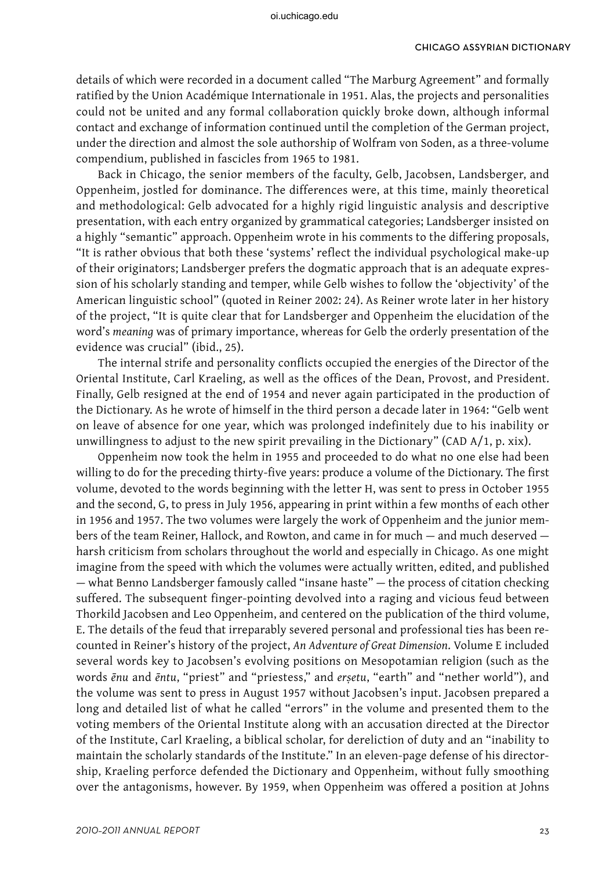details of which were recorded in a document called "The Marburg Agreement" and formally ratified by the Union Académique Internationale in 1951. Alas, the projects and personalities could not be united and any formal collaboration quickly broke down, although informal contact and exchange of information continued until the completion of the German project, under the direction and almost the sole authorship of Wolfram von Soden, as a three-volume compendium, published in fascicles from 1965 to 1981.

Back in Chicago, the senior members of the faculty, Gelb, Jacobsen, Landsberger, and Oppenheim, jostled for dominance. The differences were, at this time, mainly theoretical and methodological: Gelb advocated for a highly rigid linguistic analysis and descriptive presentation, with each entry organized by grammatical categories; Landsberger insisted on a highly "semantic" approach. Oppenheim wrote in his comments to the differing proposals, "It is rather obvious that both these 'systems' reflect the individual psychological make-up of their originators; Landsberger prefers the dogmatic approach that is an adequate expression of his scholarly standing and temper, while Gelb wishes to follow the 'objectivity' of the American linguistic school" (quoted in Reiner 2002: 24). As Reiner wrote later in her history of the project, "It is quite clear that for Landsberger and Oppenheim the elucidation of the word's *meaning* was of primary importance, whereas for Gelb the orderly presentation of the evidence was crucial" (ibid., 25).

The internal strife and personality conflicts occupied the energies of the Director of the Oriental Institute, Carl Kraeling, as well as the offices of the Dean, Provost, and President. Finally, Gelb resigned at the end of 1954 and never again participated in the production of the Dictionary. As he wrote of himself in the third person a decade later in 1964: "Gelb went on leave of absence for one year, which was prolonged indefinitely due to his inability or unwillingness to adjust to the new spirit prevailing in the Dictionary" (CAD  $A/1$ , p. xix).

Oppenheim now took the helm in 1955 and proceeded to do what no one else had been willing to do for the preceding thirty-five years: produce a volume of the Dictionary. The first volume, devoted to the words beginning with the letter H, was sent to press in October 1955 and the second, G, to press in July 1956, appearing in print within a few months of each other in 1956 and 1957. The two volumes were largely the work of Oppenheim and the junior members of the team Reiner, Hallock, and Rowton, and came in for much — and much deserved harsh criticism from scholars throughout the world and especially in Chicago. As one might imagine from the speed with which the volumes were actually written, edited, and published — what Benno Landsberger famously called "insane haste" — the process of citation checking suffered. The subsequent finger-pointing devolved into a raging and vicious feud between Thorkild Jacobsen and Leo Oppenheim, and centered on the publication of the third volume, E. The details of the feud that irreparably severed personal and professional ties has been recounted in Reiner's history of the project, *An Adventure of Great Dimension*. Volume E included several words key to Jacobsen's evolving positions on Mesopotamian religion (such as the words *ēnu* and *ēntu*, "priest" and "priestess," and *erṣetu*, "earth" and "nether world"), and the volume was sent to press in August 1957 without Jacobsen's input. Jacobsen prepared a long and detailed list of what he called "errors" in the volume and presented them to the voting members of the Oriental Institute along with an accusation directed at the Director of the Institute, Carl Kraeling, a biblical scholar, for dereliction of duty and an "inability to maintain the scholarly standards of the Institute." In an eleven-page defense of his directorship, Kraeling perforce defended the Dictionary and Oppenheim, without fully smoothing over the antagonisms, however. By 1959, when Oppenheim was offered a position at Johns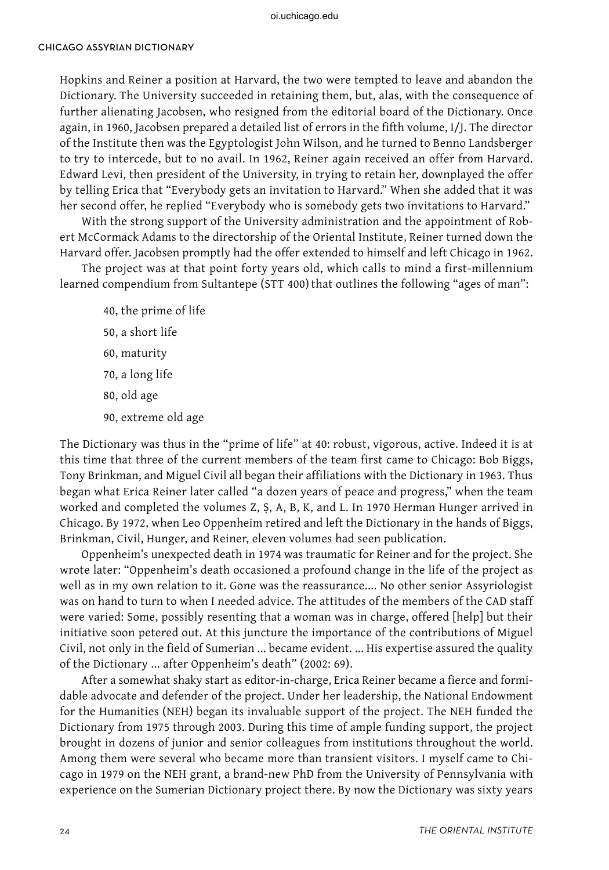Hopkins and Reiner a position at Harvard, the two were tempted to leave and abandon the Dictionary. The University succeeded in retaining them, but, alas, with the consequence of further alienating Jacobsen, who resigned from the editorial board of the Dictionary. Once again, in 1960, Jacobsen prepared a detailed list of errors in the fifth volume, I/J. The director of the Institute then was the Egyptologist John Wilson, and he turned to Benno Landsberger to try to intercede, but to no avail. In 1962, Reiner again received an offer from Harvard. Edward Levi, then president of the University, in trying to retain her, downplayed the offer by telling Erica that "Everybody gets an invitation to Harvard." When she added that it was her second offer, he replied "Everybody who is somebody gets two invitations to Harvard."

With the strong support of the University administration and the appointment of Robert McCormack Adams to the directorship of the Oriental Institute, Reiner turned down the Harvard offer. Jacobsen promptly had the offer extended to himself and left Chicago in 1962.

The project was at that point forty years old, which calls to mind a first-millennium learned compendium from Sultantepe (STT 400) that outlines the following "ages of man":

40, the prime of life 50, a short life 60, maturity 70, a long life 80, old age 90, extreme old age

The Dictionary was thus in the "prime of life" at 40: robust, vigorous, active. Indeed it is at this time that three of the current members of the team first came to Chicago: Bob Biggs, Tony Brinkman, and Miguel Civil all began their affiliations with the Dictionary in 1963. Thus began what Erica Reiner later called "a dozen years of peace and progress," when the team worked and completed the volumes Z, Ṣ, A, B, K, and L. In 1970 Herman Hunger arrived in Chicago. By 1972, when Leo Oppenheim retired and left the Dictionary in the hands of Biggs, Brinkman, Civil, Hunger, and Reiner, eleven volumes had seen publication.

Oppenheim's unexpected death in 1974 was traumatic for Reiner and for the project. She wrote later: "Oppenheim's death occasioned a profound change in the life of the project as well as in my own relation to it. Gone was the reassurance.... No other senior Assyriologist was on hand to turn to when I needed advice. The attitudes of the members of the CAD staff were varied: Some, possibly resenting that a woman was in charge, offered [help] but their initiative soon petered out. At this juncture the importance of the contributions of Miguel Civil, not only in the field of Sumerian ... became evident. ... His expertise assured the quality of the Dictionary ... after Oppenheim's death" (2002: 69).

After a somewhat shaky start as editor-in-charge, Erica Reiner became a fierce and formidable advocate and defender of the project. Under her leadership, the National Endowment for the Humanities (NEH) began its invaluable support of the project. The NEH funded the Dictionary from 1975 through 2003. During this time of ample funding support, the project brought in dozens of junior and senior colleagues from institutions throughout the world. Among them were several who became more than transient visitors. I myself came to Chicago in 1979 on the NEH grant, a brand-new PhD from the University of Pennsylvania with experience on the Sumerian Dictionary project there. By now the Dictionary was sixty years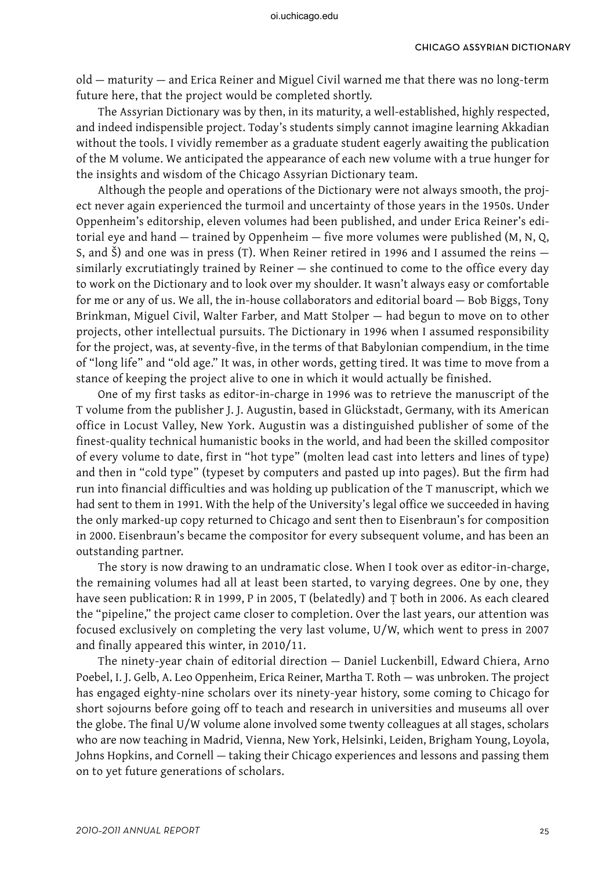old — maturity — and Erica Reiner and Miguel Civil warned me that there was no long-term future here, that the project would be completed shortly.

The Assyrian Dictionary was by then, in its maturity, a well-established, highly respected, and indeed indispensible project. Today's students simply cannot imagine learning Akkadian without the tools. I vividly remember as a graduate student eagerly awaiting the publication of the M volume. We anticipated the appearance of each new volume with a true hunger for the insights and wisdom of the Chicago Assyrian Dictionary team.

Although the people and operations of the Dictionary were not always smooth, the project never again experienced the turmoil and uncertainty of those years in the 1950s. Under Oppenheim's editorship, eleven volumes had been published, and under Erica Reiner's editorial eye and hand  $-$  trained by Oppenheim  $-$  five more volumes were published (M, N, Q, S, and Š) and one was in press (T). When Reiner retired in 1996 and I assumed the reins similarly excrutiatingly trained by Reiner — she continued to come to the office every day to work on the Dictionary and to look over my shoulder. It wasn't always easy or comfortable for me or any of us. We all, the in-house collaborators and editorial board — Bob Biggs, Tony Brinkman, Miguel Civil, Walter Farber, and Matt Stolper — had begun to move on to other projects, other intellectual pursuits. The Dictionary in 1996 when I assumed responsibility for the project, was, at seventy-five, in the terms of that Babylonian compendium, in the time of "long life" and "old age." It was, in other words, getting tired. It was time to move from a stance of keeping the project alive to one in which it would actually be finished.

One of my first tasks as editor-in-charge in 1996 was to retrieve the manuscript of the T volume from the publisher J. J. Augustin, based in Glückstadt, Germany, with its American office in Locust Valley, New York. Augustin was a distinguished publisher of some of the finest-quality technical humanistic books in the world, and had been the skilled compositor of every volume to date, first in "hot type" (molten lead cast into letters and lines of type) and then in "cold type" (typeset by computers and pasted up into pages). But the firm had run into financial difficulties and was holding up publication of the T manuscript, which we had sent to them in 1991. With the help of the University's legal office we succeeded in having the only marked-up copy returned to Chicago and sent then to Eisenbraun's for composition in 2000. Eisenbraun's became the compositor for every subsequent volume, and has been an outstanding partner.

The story is now drawing to an undramatic close. When I took over as editor-in-charge, the remaining volumes had all at least been started, to varying degrees. One by one, they have seen publication: R in 1999, P in 2005, T (belatedly) and T both in 2006. As each cleared the "pipeline," the project came closer to completion. Over the last years, our attention was focused exclusively on completing the very last volume, U/W, which went to press in 2007 and finally appeared this winter, in 2010/11.

The ninety-year chain of editorial direction — Daniel Luckenbill, Edward Chiera, Arno Poebel, I. J. Gelb, A. Leo Oppenheim, Erica Reiner, Martha T. Roth — was unbroken. The project has engaged eighty-nine scholars over its ninety-year history, some coming to Chicago for short sojourns before going off to teach and research in universities and museums all over the globe. The final U/W volume alone involved some twenty colleagues at all stages, scholars who are now teaching in Madrid, Vienna, New York, Helsinki, Leiden, Brigham Young, Loyola, Johns Hopkins, and Cornell — taking their Chicago experiences and lessons and passing them on to yet future generations of scholars.